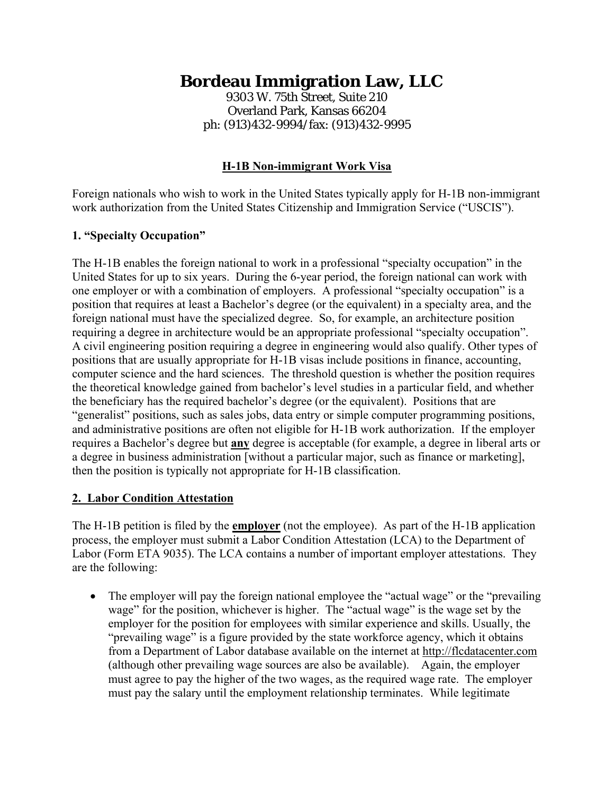# **Bordeau Immigration Law, LLC**

9303 W. 75th Street, Suite 210 Overland Park, Kansas 66204 ph: (913)432-9994/fax: (913)432-9995

# **H-1B Non-immigrant Work Visa**

Foreign nationals who wish to work in the United States typically apply for H-1B non-immigrant work authorization from the United States Citizenship and Immigration Service ("USCIS").

## **1. "Specialty Occupation"**

The H-1B enables the foreign national to work in a professional "specialty occupation" in the United States for up to six years. During the 6-year period, the foreign national can work with one employer or with a combination of employers. A professional "specialty occupation" is a position that requires at least a Bachelor's degree (or the equivalent) in a specialty area, and the foreign national must have the specialized degree. So, for example, an architecture position requiring a degree in architecture would be an appropriate professional "specialty occupation". A civil engineering position requiring a degree in engineering would also qualify. Other types of positions that are usually appropriate for H-1B visas include positions in finance, accounting, computer science and the hard sciences. The threshold question is whether the position requires the theoretical knowledge gained from bachelor's level studies in a particular field, and whether the beneficiary has the required bachelor's degree (or the equivalent). Positions that are "generalist" positions, such as sales jobs, data entry or simple computer programming positions, and administrative positions are often not eligible for H-1B work authorization. If the employer requires a Bachelor's degree but **any** degree is acceptable (for example, a degree in liberal arts or a degree in business administration [without a particular major, such as finance or marketing], then the position is typically not appropriate for H-1B classification.

### **2. Labor Condition Attestation**

The H-1B petition is filed by the **employer** (not the employee). As part of the H-1B application process, the employer must submit a Labor Condition Attestation (LCA) to the Department of Labor (Form ETA 9035). The LCA contains a number of important employer attestations. They are the following:

• The employer will pay the foreign national employee the "actual wage" or the "prevailing" wage" for the position, whichever is higher. The "actual wage" is the wage set by the employer for the position for employees with similar experience and skills. Usually, the "prevailing wage" is a figure provided by the state workforce agency, which it obtains from a Department of Labor database available on the internet at http://flcdatacenter.com (although other prevailing wage sources are also be available). Again, the employer must agree to pay the higher of the two wages, as the required wage rate. The employer must pay the salary until the employment relationship terminates. While legitimate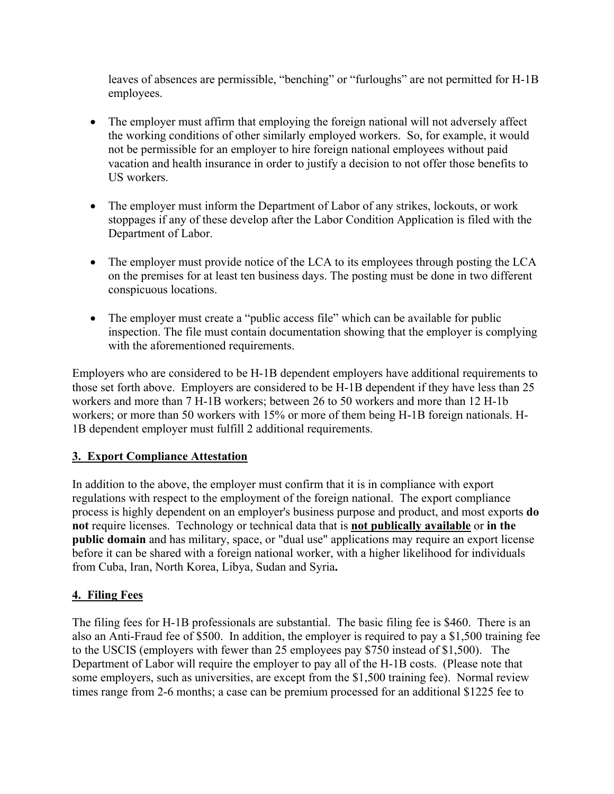leaves of absences are permissible, "benching" or "furloughs" are not permitted for H-1B employees.

- The employer must affirm that employing the foreign national will not adversely affect the working conditions of other similarly employed workers. So, for example, it would not be permissible for an employer to hire foreign national employees without paid vacation and health insurance in order to justify a decision to not offer those benefits to US workers.
- The employer must inform the Department of Labor of any strikes, lockouts, or work stoppages if any of these develop after the Labor Condition Application is filed with the Department of Labor.
- The employer must provide notice of the LCA to its employees through posting the LCA on the premises for at least ten business days. The posting must be done in two different conspicuous locations.
- The employer must create a "public access file" which can be available for public inspection. The file must contain documentation showing that the employer is complying with the aforementioned requirements.

Employers who are considered to be H-1B dependent employers have additional requirements to those set forth above. Employers are considered to be H-1B dependent if they have less than 25 workers and more than 7 H-1B workers; between 26 to 50 workers and more than 12 H-1b workers; or more than 50 workers with 15% or more of them being H-1B foreign nationals. H-1B dependent employer must fulfill 2 additional requirements.

### **3. Export Compliance Attestation**

In addition to the above, the employer must confirm that it is in compliance with export regulations with respect to the employment of the foreign national. The export compliance process is highly dependent on an employer's business purpose and product, and most exports **do not** require licenses. Technology or technical data that is **not publically available** or **in the public domain** and has military, space, or "dual use" applications may require an export license before it can be shared with a foreign national worker, with a higher likelihood for individuals from Cuba, Iran, North Korea, Libya, Sudan and Syria**.** 

### **4. Filing Fees**

The filing fees for H-1B professionals are substantial. The basic filing fee is \$460. There is an also an Anti-Fraud fee of \$500. In addition, the employer is required to pay a \$1,500 training fee to the USCIS (employers with fewer than 25 employees pay \$750 instead of \$1,500). The Department of Labor will require the employer to pay all of the H-1B costs. (Please note that some employers, such as universities, are except from the \$1,500 training fee). Normal review times range from 2-6 months; a case can be premium processed for an additional \$1225 fee to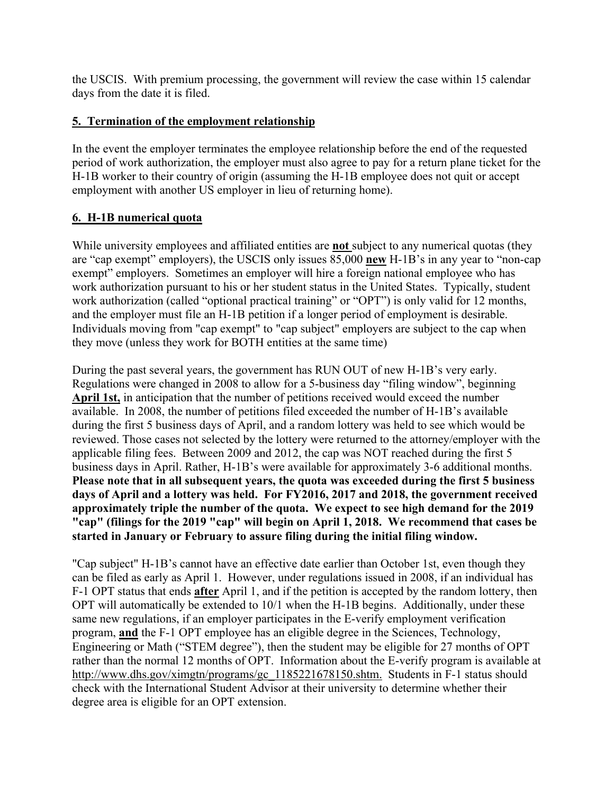the USCIS. With premium processing, the government will review the case within 15 calendar days from the date it is filed.

## **5. Termination of the employment relationship**

In the event the employer terminates the employee relationship before the end of the requested period of work authorization, the employer must also agree to pay for a return plane ticket for the H-1B worker to their country of origin (assuming the H-1B employee does not quit or accept employment with another US employer in lieu of returning home).

## **6. H-1B numerical quota**

While university employees and affiliated entities are **not** subject to any numerical quotas (they are "cap exempt" employers), the USCIS only issues 85,000 **new** H-1B's in any year to "non-cap exempt" employers. Sometimes an employer will hire a foreign national employee who has work authorization pursuant to his or her student status in the United States. Typically, student work authorization (called "optional practical training" or "OPT") is only valid for 12 months, and the employer must file an H-1B petition if a longer period of employment is desirable. Individuals moving from "cap exempt" to "cap subject" employers are subject to the cap when they move (unless they work for BOTH entities at the same time)

During the past several years, the government has RUN OUT of new H-1B's very early. Regulations were changed in 2008 to allow for a 5-business day "filing window", beginning **April 1st,** in anticipation that the number of petitions received would exceed the number available. In 2008, the number of petitions filed exceeded the number of H-1B's available during the first 5 business days of April, and a random lottery was held to see which would be reviewed. Those cases not selected by the lottery were returned to the attorney/employer with the applicable filing fees. Between 2009 and 2012, the cap was NOT reached during the first 5 business days in April. Rather, H-1B's were available for approximately 3-6 additional months. **Please note that in all subsequent years, the quota was exceeded during the first 5 business days of April and a lottery was held. For FY2016, 2017 and 2018, the government received approximately triple the number of the quota. We expect to see high demand for the 2019 "cap" (filings for the 2019 "cap" will begin on April 1, 2018. We recommend that cases be started in January or February to assure filing during the initial filing window.**

"Cap subject" H-1B's cannot have an effective date earlier than October 1st, even though they can be filed as early as April 1. However, under regulations issued in 2008, if an individual has F-1 OPT status that ends **after** April 1, and if the petition is accepted by the random lottery, then OPT will automatically be extended to 10/1 when the H-1B begins. Additionally, under these same new regulations, if an employer participates in the E-verify employment verification program, **and** the F-1 OPT employee has an eligible degree in the Sciences, Technology, Engineering or Math ("STEM degree"), then the student may be eligible for 27 months of OPT rather than the normal 12 months of OPT. Information about the E-verify program is available at http://www.dhs.gov/ximgtn/programs/gc\_1185221678150.shtm. Students in F-1 status should check with the International Student Advisor at their university to determine whether their degree area is eligible for an OPT extension.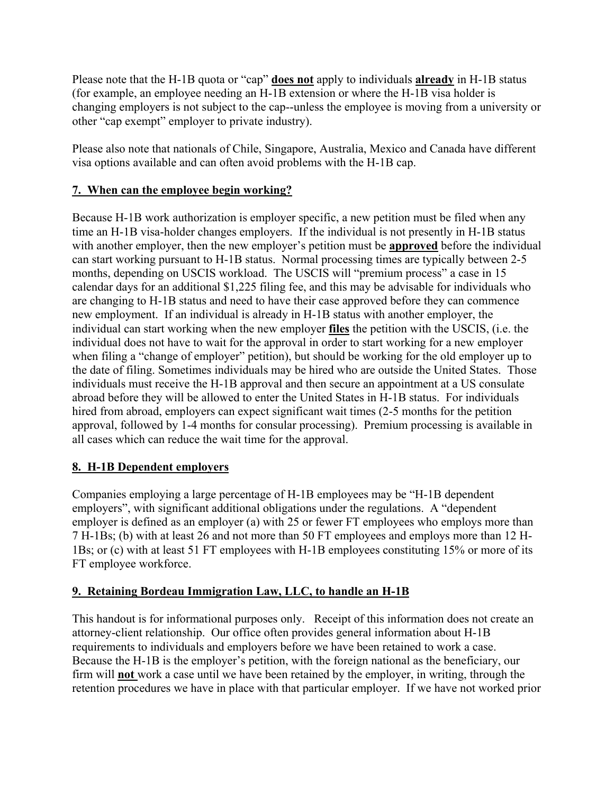Please note that the H-1B quota or "cap" **does not** apply to individuals **already** in H-1B status (for example, an employee needing an H-1B extension or where the H-1B visa holder is changing employers is not subject to the cap--unless the employee is moving from a university or other "cap exempt" employer to private industry).

Please also note that nationals of Chile, Singapore, Australia, Mexico and Canada have different visa options available and can often avoid problems with the H-1B cap.

# **7. When can the employee begin working?**

Because H-1B work authorization is employer specific, a new petition must be filed when any time an H-1B visa-holder changes employers. If the individual is not presently in H-1B status with another employer, then the new employer's petition must be **approved** before the individual can start working pursuant to H-1B status. Normal processing times are typically between 2-5 months, depending on USCIS workload. The USCIS will "premium process" a case in 15 calendar days for an additional \$1,225 filing fee, and this may be advisable for individuals who are changing to H-1B status and need to have their case approved before they can commence new employment. If an individual is already in H-1B status with another employer, the individual can start working when the new employer **files** the petition with the USCIS, (i.e. the individual does not have to wait for the approval in order to start working for a new employer when filing a "change of employer" petition), but should be working for the old employer up to the date of filing. Sometimes individuals may be hired who are outside the United States. Those individuals must receive the H-1B approval and then secure an appointment at a US consulate abroad before they will be allowed to enter the United States in H-1B status. For individuals hired from abroad, employers can expect significant wait times (2-5 months for the petition approval, followed by 1-4 months for consular processing). Premium processing is available in all cases which can reduce the wait time for the approval.

# **8. H-1B Dependent employers**

Companies employing a large percentage of H-1B employees may be "H-1B dependent employers", with significant additional obligations under the regulations. A "dependent employer is defined as an employer (a) with 25 or fewer FT employees who employs more than 7 H-1Bs; (b) with at least 26 and not more than 50 FT employees and employs more than 12 H-1Bs; or (c) with at least 51 FT employees with H-1B employees constituting 15% or more of its FT employee workforce.

### **9. Retaining Bordeau Immigration Law, LLC, to handle an H-1B**

This handout is for informational purposes only. Receipt of this information does not create an attorney-client relationship. Our office often provides general information about H-1B requirements to individuals and employers before we have been retained to work a case. Because the H-1B is the employer's petition, with the foreign national as the beneficiary, our firm will **not** work a case until we have been retained by the employer, in writing, through the retention procedures we have in place with that particular employer. If we have not worked prior